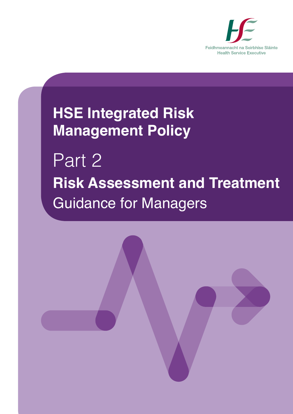

**HSE Integrated Risk Management Policy**

Part 2 **Risk Assessment and Treatment** Guidance for Managers

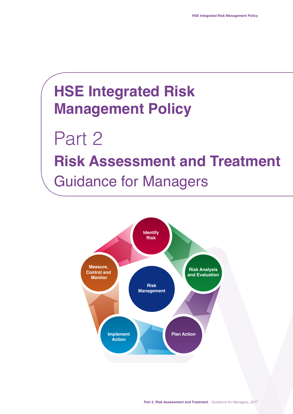## **HSE Integrated Risk Management Policy**

## Part 2 **Risk Assessment and Treatment** Guidance for Managers

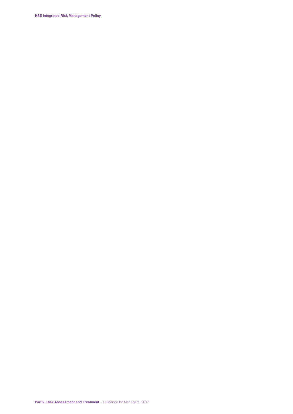**HSE Integrated Risk Management Policy**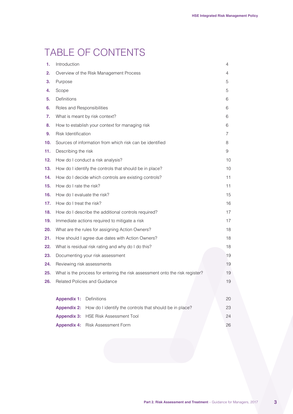### TABLE OF CONTENTS

| 1.  | Introduction                                                                  | 4  |
|-----|-------------------------------------------------------------------------------|----|
| 2.  | Overview of the Risk Management Process                                       | 4  |
| 3.  | Purpose                                                                       | 5  |
| 4.  | Scope                                                                         | 5  |
| 5.  | Definitions                                                                   | 6  |
| 6.  | Roles and Responsibilities                                                    | 6  |
| 7.  | What is meant by risk context?                                                | 6  |
| 8.  | How to establish your context for managing risk                               | 6  |
| 9.  | Risk Identification                                                           | 7  |
| 10. | Sources of information from which risk can be identified                      | 8  |
| 11. | Describing the risk                                                           | 9  |
| 12. | How do I conduct a risk analysis?                                             | 10 |
| 13. | How do I identify the controls that should be in place?                       | 10 |
| 14. | How do I decide which controls are existing controls?                         | 11 |
| 15. | How do I rate the risk?                                                       | 11 |
| 16. | How do I evaluate the risk?                                                   | 15 |
| 17. | How do I treat the risk?                                                      | 16 |
| 18. | How do I describe the additional controls required?                           | 17 |
| 19. | Immediate actions required to mitigate a risk                                 | 17 |
| 20. | What are the rules for assigning Action Owners?                               | 18 |
| 21. | How should I agree due dates with Action Owners?                              | 18 |
| 22. | What is residual risk rating and why do I do this?                            | 18 |
| 23. | Documenting your risk assessment                                              | 19 |
| 24. | Reviewing risk assessments                                                    | 19 |
| 25. | What is the process for entering the risk assessment onto the risk register?  | 19 |
| 26. | Related Policies and Guidance                                                 | 19 |
|     | <b>Appendix 1:</b><br>Definitions                                             | 20 |
|     | How do I identify the controls that should be in place?<br><b>Appendix 2:</b> | 23 |
|     | <b>Appendix 3:</b><br><b>HSE Risk Assessment Tool</b>                         | 24 |
|     | <b>Appendix 4:</b><br><b>Risk Assessment Form</b>                             | 26 |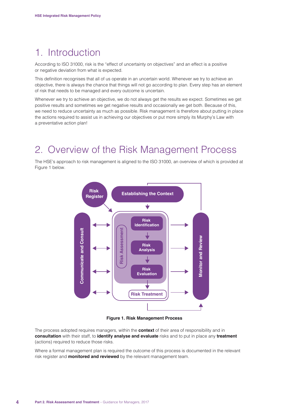### <span id="page-5-0"></span>1. Introduction

According to ISO 31000, risk is the "effect of uncertainty on objectives" and an effect is a positive or negative deviation from what is expected.

This definition recognises that all of us operate in an uncertain world. Whenever we try to achieve an objective, there is always the chance that things will not go according to plan. Every step has an element of risk that needs to be managed and every outcome is uncertain.

Whenever we try to achieve an objective, we do not always get the results we expect. Sometimes we get positive results and sometimes we get negative results and occasionally we get both. Because of this, we need to reduce uncertainty as much as possible. Risk management is therefore about putting in place the actions required to assist us in achieving our objectives or put more simply its Murphy's Law with a preventative action plan!

### 2. Overview of the Risk Management Process

The HSE's approach to risk management is aligned to the ISO 31000, an overview of which is provided at Figure 1 below.



**Figure 1. Risk Management Process**

The process adopted requires managers, within the **context** of their area of responsibility and in **consultation** with their staff, to **identify analyse and evaluate** risks and to put in place any **treatment** (actions) required to reduce those risks.

Where a formal management plan is required the outcome of this process is documented in the relevant risk register and **monitored and reviewed** by the relevant management team.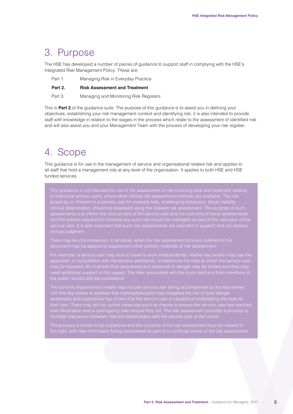### <span id="page-6-0"></span>3. Purpose

The HSE has developed a number of pieces of guidance to support staff in complying with the HSE's Integrated Risk Management Policy. These are:

|  | Part 1. | Managing Risk in Everyday Practice |  |  |  |
|--|---------|------------------------------------|--|--|--|
|--|---------|------------------------------------|--|--|--|

#### **Part 2. Risk Assessment and Treatment**

Part 3. Managing and Monitoring Risk Registers

This is **Part 2** of the guidance suite. The purpose of this guidance is to assist you in defining your objectives, establishing your risk management context and identifying risk, it is also intended to provide staff with knowledge in relation to the stages in the process which relate to the assessment of identified risk and will also assist you and your Management Team with the process of developing your risk register.

### 4. Scope

This guidance is for use in the management of service and organisational related risk and applies to all staff that hold a management role at any level of the organisation. It applies to both HSE and HSE funded services.

This guidance is not intended for use in the assessment of risk involving care and treatment relating assessments is to inform the clinical care of the service user and the outcome of these assessments and the actions required to minimise any such risk should be managed as part of the care plan of the

document may be applied to supplement other primary methods of risk assessment.

approach, in consultation with the service user/family, to determine the risks to which the service user may be exposed, for example their awareness and response to danger may be limited and they may need additional support in this regard. The risks associated with the route itself and from members of the public should also be considered.

their own. There may still be control measures such as checks to ensure the service user has reached their destination and a contingency plan should they not. The risk assessment provides a process to

The process is known to be subjective and the outcome of the risk assessment must be viewed in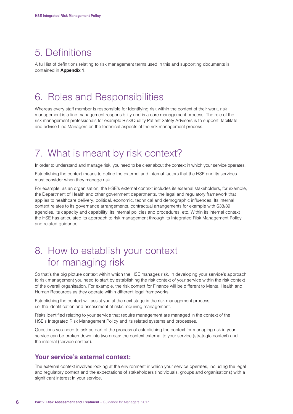### 5. Definitions

A full list of definitions relating to risk management terms used in this and supporting documents is contained in **Appendix 1**.

### 6. Roles and Responsibilities

Whereas every staff member is responsible for identifying risk within the context of their work, risk management is a line management responsibility and is a core management process. The role of the risk management professionals for example Risk/Quality Patient Safety Advisors is to support, facilitate and advise Line Managers on the technical aspects of the risk management process.

### 7. What is meant by risk context?

In order to understand and manage risk, you need to be clear about the context in which your service operates.

Establishing the context means to define the external and internal factors that the HSE and its services must consider when they manage risk.

For example, as an organisation, the HSE's external context includes its external stakeholders, for example, the Department of Health and other government departments, the legal and regulatory framework that applies to healthcare delivery, political, economic, technical and demographic influences. Its internal context relates to its governance arrangements, contractual arrangements for example with S38/39 agencies, its capacity and capability, its internal policies and procedures, etc. Within its internal context the HSE has articulated its approach to risk management through its Integrated Risk Management Policy and related guidance.

### 8. How to establish your context for managing risk

So that's the big picture context within which the HSE manages risk. In developing your service's approach to risk management you need to start by establishing the risk context of your service within the risk context of the overall organisation. For example, the risk context for Finance will be different to Mental Health and Human Resources as they operate within different legal frameworks.

Establishing the context will assist you at the next stage in the risk management process, i.e. the identification and assessment of risks requiring management.

Risks identified relating to your service that require management are managed in the context of the HSE's Integrated Risk Management Policy and its related systems and processes.

Questions you need to ask as part of the process of establishing the context for managing risk in your service can be broken down into two areas: the context external to your service (strategic context) and the internal (service context).

#### **Your service's external context:**

The external context involves looking at the environment in which your service operates, including the legal and regulatory context and the expectations of stakeholders (individuals, groups and organisations) with a significant interest in your service.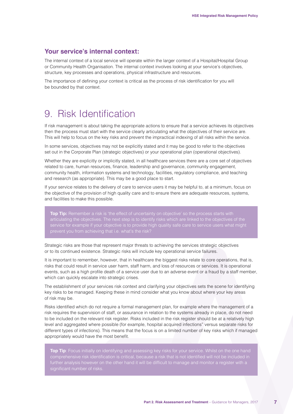#### <span id="page-8-0"></span>**Your service's internal context:**

The internal context of a local service will operate within the larger context of a Hospital/Hospital Group or Community Health Organisation. The internal context involves looking at your service's objectives, structure, key processes and operations, physical infrastructure and resources.

The importance of defining your context is critical as the process of risk identification for you will be bounded by that context.

### 9. Risk Identification

If risk management is about taking the appropriate actions to ensure that a service achieves its objectives then the process must start with the service clearly articulating what the objectives of their service are. This will help to focus on the key risks and prevent the impractical indexing of all risks within the service.

In some services, objectives may not be explicitly stated and it may be good to refer to the objectives set out in the Corporate Plan (strategic objectives) or your operational plan (operational objectives).

Whether they are explicitly or implicitly stated, in all healthcare services there are a core set of objectives related to care, human resources, finance, leadership and governance, community engagement, community health, information systems and technology, facilities, regulatory compliance, and teaching and research (as appropriate). This may be a good place to start.

If your service relates to the delivery of care to service users it may be helpful to, at a minimum, focus on the objective of the provision of high quality care and to ensure there are adequate resources, systems, and facilities to make this possible.

**Top Tip:** Remember a risk is 'the effect of uncertainty on objective' so the process starts with articulating the objectives. The next step is to identify risks which are linked to the objectives of the

Strategic risks are those that represent major threats to achieving the services strategic objectives or to its continued existence. Strategic risks will include key operational service failures.

It is important to remember, however, that in healthcare the biggest risks relate to core operations, that is, risks that could result in service user harm, staff harm, and loss of resources or services. It is operational events, such as a high profile death of a service user due to an adverse event or a fraud by a staff member, which can quickly escalate into strategic crises.

The establishment of your services risk context and clarifying your objectives sets the scene for identifying key risks to be managed. Keeping these in mind consider what you know about where your key areas of risk may be.

Risks identified which do not require a formal management plan, for example where the management of a risk requires the supervision of staff, or assurance in relation to the systems already in place, do not need to be included on the relevant risk register. Risks included in the risk register should be at a relatively high level and aggregated where possible (for example, hospital acquired infections" versus separate risks for different types of infections). This means that the focus is on a limited number of key risks which if managed appropriately would have the most benefit.

**Top Tip**: Focus initially on identifying and assessing key risks for your service. Whilst on the one hand further analysis however on the other hand it will be difficult to manage and monitor a register with a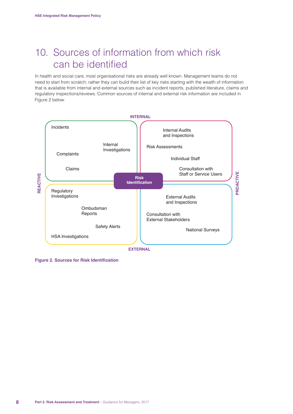### <span id="page-9-0"></span>10. Sources of information from which risk can be identified

In health and social care, most organisational risks are already well known. Management teams do not need to start from scratch; rather they can build their list of key risks starting with the wealth of information that is available from internal and external sources such as incident reports, published literature, claims and regulatory inspections/reviews. Common sources of internal and external risk information are included in Figure 2 below.



**Figure 2. Sources for Risk Identification**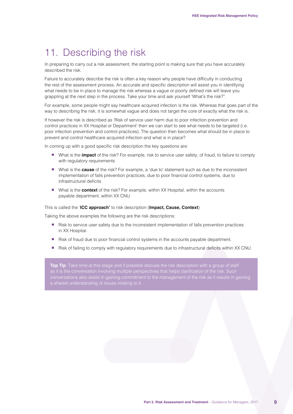### <span id="page-10-0"></span>11. Describing the risk

In preparing to carry out a risk assessment, the starting point is making sure that you have accurately described the risk.

Failure to accurately describe the risk is often a key reason why people have difficulty in conducting the rest of the assessment process. An accurate and specific description will assist you in identifying what needs to be in place to manage the risk whereas a vague or poorly defined risk will leave you grappling at the next step in the process. Take your time and ask yourself 'What's the risk?".

For example, some people might say healthcare acquired infection is the risk. Whereas that goes part of the way to describing the risk, it is somewhat vague and does not target the core of exactly what the risk is.

If however the risk is described as 'Risk of service user harm due to poor infection prevention and control practices in XX Hospital or Department' then we can start to see what needs to be targeted (i.e. poor infection prevention and control practices). The question then becomes what should be in place to prevent and control healthcare acquired infection and what is in place?

In coming up with a good specific risk description the key questions are:

- What is the **impact** of the risk? For example, risk to service user safety, of fraud, to failure to comply with regulatory requirements
- n What is the **cause** of the risk? For example, a 'due to' statement such as due to the inconsistent implementation of falls prevention practices, due to poor financial control systems, due to infrastructural deficits
- What is the **context** of the risk? For example, within XX Hospital, within the accounts payable department, within XX CNU

#### This is called the '**ICC approach'** to risk description (**Impact, Cause, Context**)

Taking the above examples the following are the risk descriptions:

- n Risk to service user safety due to the inconsistent implementation of falls prevention practices in XX Hospital.
- Risk of fraud due to poor financial control systems in the accounts payable department.
- n Risk of failing to comply with regulatory requirements due to infrastructural deficits within XX CNU.

**Top Tip**: Take time at this stage and if possible discuss the risk description with a group of staff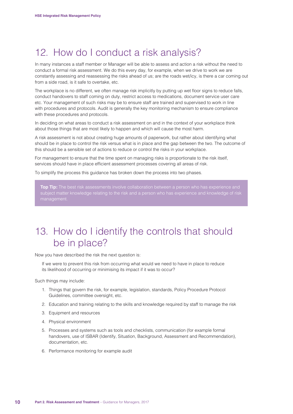### <span id="page-11-0"></span>12. How do I conduct a risk analysis?

In many instances a staff member or Manager will be able to assess and action a risk without the need to conduct a formal risk assessment. We do this every day, for example, when we drive to work we are constantly assessing and reassessing the risks ahead of us; are the roads wet/icy, is there a car coming out from a side road, is it safe to overtake, etc.

The workplace is no different, we often manage risk implicitly by putting up wet floor signs to reduce falls, conduct handovers to staff coming on duty, restrict access to medications, document service user care etc. Your management of such risks may be to ensure staff are trained and supervised to work in line with procedures and protocols. Audit is generally the key monitoring mechanism to ensure compliance with these procedures and protocols.

In deciding on what areas to conduct a risk assessment on and in the context of your workplace think about those things that are most likely to happen and which will cause the most harm.

A risk assessment is not about creating huge amounts of paperwork, but rather about identifying what should be in place to control the risk versus what is in place and the gap between the two. The outcome of this should be a sensible set of actions to reduce or control the risks in your workplace.

For management to ensure that the time spent on managing risks is proportionate to the risk itself, services should have in place efficient assessment processes covering all areas of risk.

To simplify the process this guidance has broken down the process into two phases.

**Top Tip:** The best risk assessments involve collaboration between a person who has experience and ject matter knowledge relating to the risk and a person who has experience and knowledge of risk

### 13. How do I identify the controls that should be in place?

Now you have described the risk the next question is:

If we were to prevent this risk from occurring what would we need to have in place to reduce its likelihood of occurring or minimising its impact if it was to occur?

Such things may include:

- 1. Things that govern the risk, for example, legislation, standards, Policy Procedure Protocol Guidelines, committee oversight, etc.
- 2. Education and training relating to the skills and knowledge required by staff to manage the risk
- 3. Equipment and resources
- 4. Physical environment
- 5. Processes and systems such as tools and checklists, communication (for example formal handovers, use of ISBAR (Identify, Situation, Background, Assessment and Recommendation), documentation, etc.
- 6. Performance monitoring for example audit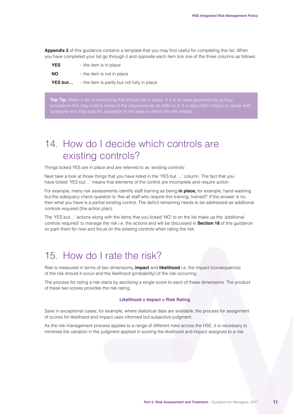<span id="page-12-0"></span>**Appendix 2** of this guidance contains a template that you may find useful for completing this list. When you have completed your list go through it and opposite each item tick one of the three columns as follows:

| <b>YES</b> | - the item is in place                      |
|------------|---------------------------------------------|
| <b>NO</b>  | - the item is not in place                  |
| YES but    | - the item is partly but not fully in place |

**Top Tip:** Make a list of everything that should be in place. If it is an area governed by policy/ someone who has specific expertise in the area to which the risk relates.

### 14. How do I decide which controls are existing controls?

Things ticked YES are in place and are referred to as 'existing controls'.

Next take a look at those things that you have listed in the 'YES but …' column. The fact that you have ticked 'YES but...' means that elements of the control are incomplete and require action.

For example, many risk assessments identify staff training as being **in place,** for example, hand washing but the adequacy check question is 'Are all staff who require this training, trained?' If the answer is no, then what you have is a partial existing control. The deficit remaining needs to be addressed as additional controls required (the action plan).

The 'YES but…' actions along with the items that you ticked 'NO' to on the list make up the 'additional controls required' to manage the risk i.e. the actions and will be discussed in **Section 18** of this guidance so park them for now and focus on the existing controls when rating the risk.

### 15. How do I rate the risk?

Risk is measured in terms of two dimensions**, impact** and **likelihood** i.e. the impact (consequence) of the risk should it occur and the likelihood (probability) of the risk occurring.

The process for rating a risk starts by ascribing a single score to each of these dimensions. The product of these two scores provides the risk rating.

#### **Likelihood x Impact = Risk Rating**

Save in exceptional cases, for example, where statistical data are available, the process for assignment of scores for likelihood and impact uses informed but subjective judgment.

As the risk management process applies to a range of different risks across the HSE, it is necessary to minimise the variation in the judgment applied in scoring the likelihood and impact assigned to a risk.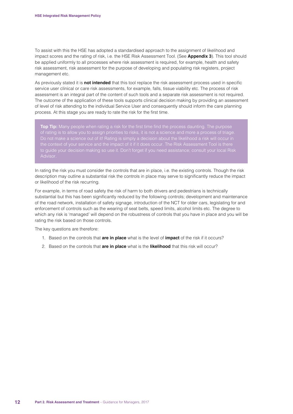To assist with this the HSE has adopted a standardised approach to the assignment of likelihood and impact scores and the rating of risk, i.e. the HSE Risk Assessment Tool. (See **Appendix 3**). This tool should be applied uniformly to all processes where risk assessment is required, for example, health and safety risk assessment, risk assessment for the purpose of developing and populating risk registers, project management etc.

As previously stated it is **not intended** that this tool replace the risk assessment process used in specific service user clinical or care risk assessments, for example, falls, tissue viability etc. The process of risk assessment is an integral part of the content of such tools and a separate risk assessment is not required. The outcome of the application of these tools supports clinical decision making by providing an assessment of level of risk attending to the individual Service User and consequently should inform the care planning process. At this stage you are ready to rate the risk for the first time.

**Top Tip:** Many people when rating a risk for the first time find the process daunting. The purpose of rating is to allow you to assign priorities to risks, it is not a science and more a process of triage. Do not make a science out of it! Rating is simply a decision about the likelihood a risk will occur in to guide your decision making so use it. Don't forget if you need assistance; consult your local Risk

In rating the risk you must consider the controls that are in place, i.e. the existing controls. Though the risk description may outline a substantial risk the controls in place may serve to significantly reduce the impact or likelihood of the risk recurring.

For example, in terms of road safety the risk of harm to both drivers and pedestrians is technically substantial but this has been significantly reduced by the following controls; development and maintenance of the road network, installation of safety signage, introduction of the NCT for older cars, legislating for and enforcement of controls such as the wearing of seat belts, speed limits, alcohol limits etc. The degree to which any risk is 'managed' will depend on the robustness of controls that you have in place and you will be rating the risk based on those controls.

The key questions are therefore:

- 1. Based on the controls that **are in place** what is the level of **impact** of the risk if it occurs?
- 2. Based on the controls that **are in place** what is the **likelihood** that this risk will occur?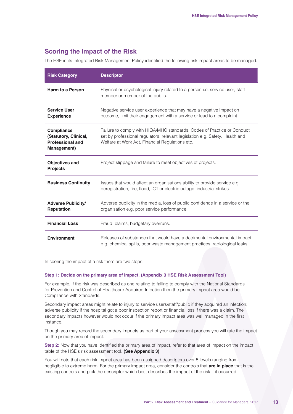#### **Scoring the Impact of the Risk**

The HSE in its Integrated Risk Management Policy identified the following risk impact areas to be managed.

| <b>Risk Category</b>                                                                 | <b>Descriptor</b>                                                                                                                                                                                          |
|--------------------------------------------------------------------------------------|------------------------------------------------------------------------------------------------------------------------------------------------------------------------------------------------------------|
| <b>Harm to a Person</b>                                                              | Physical or psychological injury related to a person i.e. service user, staff<br>member or member of the public.                                                                                           |
| <b>Service User</b><br><b>Experience</b>                                             | Negative service user experience that may have a negative impact on<br>outcome, limit their engagement with a service or lead to a complaint.                                                              |
| <b>Compliance</b><br>(Statutory, Clinical,<br><b>Professional and</b><br>Management) | Failure to comply with HIQA/MHC standards, Codes of Practice or Conduct<br>set by professional regulators, relevant legislation e.g. Safety, Health and<br>Welfare at Work Act, Financial Regulations etc. |
| <b>Objectives and</b><br><b>Projects</b>                                             | Project slippage and failure to meet objectives of projects.                                                                                                                                               |
| <b>Business Continuity</b>                                                           | Issues that would affect an organisations ability to provide service e.g.<br>deregistration, fire, flood, ICT or electric outage, industrial strikes.                                                      |
| <b>Adverse Publicity/</b><br>Reputation                                              | Adverse publicity in the media, loss of public confidence in a service or the<br>organisation e.g. poor service performance.                                                                               |
| <b>Financial Loss</b>                                                                | Fraud, claims, budgetary overruns.                                                                                                                                                                         |
| <b>Environment</b>                                                                   | Releases of substances that would have a detrimental environmental impact<br>e.g. chemical spills, poor waste management practices, radiological leaks.                                                    |

In scoring the impact of a risk there are two steps:

#### **Step 1: Decide on the primary area of impact. (Appendix 3 HSE Risk Assessment Tool)**

For example, if the risk was described as one relating to failing to comply with the National Standards for Prevention and Control of Healthcare Acquired Infection then the primary impact area would be Compliance with Standards.

Secondary impact areas might relate to injury to service users/staff/public if they acquired an infection; adverse publicity if the hospital got a poor inspection report or financial loss if there was a claim. The secondary impacts however would not occur if the primary impact area was well managed in the first instance.

Though you may record the secondary impacts as part of your assessment process you will rate the impact on the primary area of impact.

**Step 2:** Now that you have identified the primary area of impact, refer to that area of impact on the impact table of the HSE's risk assessment tool. **(See Appendix 3)**

You will note that each risk impact area has been assigned descriptors over 5 levels ranging from negligible to extreme harm. For the primary impact area, consider the controls that **are in place** that is the existing controls and pick the descriptor which best describes the impact of the risk if it occurred.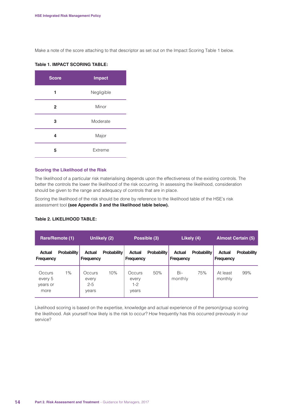Make a note of the score attaching to that descriptor as set out on the Impact Scoring Table 1 below.

#### **Table 1. IMPACT SCORING TABLE:**

| <b>Score</b> | <b>Impact</b> |
|--------------|---------------|
| 1            | Negligible    |
| $\mathbf{2}$ | Minor         |
| 3            | Moderate      |
| 4            | Major         |
| 5            | Extreme       |

#### **Scoring the Likelihood of the Risk**

The likelihood of a particular risk materialising depends upon the effectiveness of the existing controls. The better the controls the lower the likelihood of the risk occurring. In assessing the likelihood, consideration should be given to the range and adequacy of controls that are in place.

Scoring the likelihood of the risk should be done by reference to the likelihood table of the HSE's risk assessment tool **(see Appendix 3 and the likelihood table below).**

|                                              | Rare/Remote (1)    |                                     | Unlikely (2)       |                                   | Possible (3)       |                            | Likely (4)         |                            | <b>Almost Certain (5)</b> |
|----------------------------------------------|--------------------|-------------------------------------|--------------------|-----------------------------------|--------------------|----------------------------|--------------------|----------------------------|---------------------------|
| <b>Actual</b><br><b>Frequency</b>            | <b>Probability</b> | <b>Actual</b><br>Frequency          | <b>Probability</b> | <b>Actual</b><br><b>Frequency</b> | <b>Probability</b> | <b>Actual</b><br>Frequency | <b>Probability</b> | <b>Actual</b><br>Frequency | <b>Probability</b>        |
| <b>Occurs</b><br>every 5<br>years or<br>more | $1\%$              | Occurs<br>every<br>$2 - 5$<br>vears | 10%                | Occurs<br>every<br>$1-2$<br>years | 50%                | Bi-<br>monthly             | 75%                | At least<br>monthly        | 99%                       |

#### **Table 2. LIKELIHOOD TABLE:**

Likelihood scoring is based on the expertise, knowledge and actual experience of the person/group scoring the likelihood. Ask yourself how likely is the risk to occur? How frequently has this occurred previously in our service?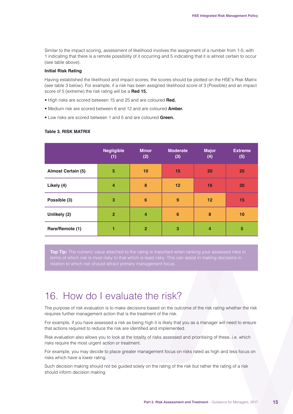<span id="page-16-0"></span>Similar to the impact scoring, assessment of likelihood involves the assignment of a number from 1-5, with 1 indicating that there is a remote possibility of it occurring and 5 indicating that it is almost certain to occur (see table above).

#### **Initial Risk Rating**

Having established the likelihood and impact scores, the scores should be plotted on the HSE's Risk Matrix (see table 3 below). For example, if a risk has been assigned likelihood score of 3 (Possible) and an impact score of 5 (extreme) the risk rating will be a **Red 15.**

- High risks are scored between 15 and 25 and are coloured **Red.**
- Medium risk are scored between 6 and 12 and are coloured **Amber.**
- Low risks are scored between 1 and 5 and are coloured **Green.**

#### **Negligible (1) Minor (2) Moderate (3) Major (4) Extreme (5) Almost Certain (5) 5 10 15 20 25 Likely (4) 4 8 12 16 20 Possible (3) 3 6 9 12 15 Unlikely (2) 2 4 6 8 10 Rare/Remote (1) 1 2 3 4 5**

#### **Table 3. RISK MATRIX**

**Top Tip:** The numeric value attached to the rating is important when ranking your assessed risks in terms of which risk is most risky to that which is least risky. This can assist in making decisions in

### 16. How do I evaluate the risk?

The purpose of risk evaluation is to make decisions based on the outcome of the risk rating whether the risk requires further management action that is the treatment of the risk.

For example, if you have assessed a risk as being high it is likely that you as a manager will need to ensure that actions required to reduce the risk are identified and implemented.

Risk evaluation also allows you to look at the totality of risks assessed and prioritising of these, i.e. which risks require the most urgent action or treatment.

For example, you may decide to place greater management focus on risks rated as high and less focus on risks which have a lower rating.

Such decision making should not be guided solely on the rating of the risk but rather the rating of a risk should inform decision making.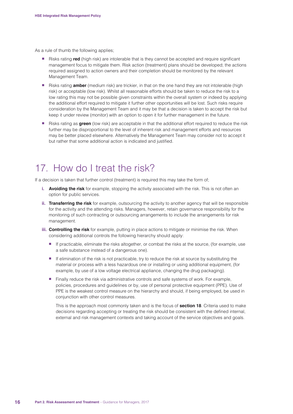<span id="page-17-0"></span>As a rule of thumb the following applies;

- **F** Risks rating **red** (high risk) are intolerable that is they cannot be accepted and require significant management focus to mitigate them. Risk action (treatment) plans should be developed; the actions required assigned to action owners and their completion should be monitored by the relevant Management Team.
- **n** Risks rating **amber** (medium risk) are trickier, in that on the one hand they are not intolerable (high risk) or acceptable (low risk). Whilst all reasonable efforts should be taken to reduce the risk to a low rating this may not be possible given constraints within the overall system or indeed by applying the additional effort required to mitigate it further other opportunities will be lost. Such risks require consideration by the Management Team and it may be that a decision is taken to accept the risk but keep it under review (monitor) with an option to open it for further management in the future.
- Risks rating as **green** (low risk) are acceptable in that the additional effort required to reduce the risk further may be disproportional to the level of inherent risk and management efforts and resources may be better placed elsewhere. Alternatively the Management Team may consider not to accept it but rather that some additional action is indicated and justified.

### 17. How do I treat the risk?

If a decision is taken that further control (treatment) is required this may take the form of;

- **i.** Avoiding the risk for example, stopping the activity associated with the risk. This is not often an option for public services.
- **ii. Transferring the risk** for example, outsourcing the activity to another agency that will be responsible for the activity and the attending risks. Managers, however, retain governance responsibility for the monitoring of such contracting or outsourcing arrangements to include the arrangements for risk management.
- **iii. Controlling the risk** for example, putting in place actions to mitigate or minimise the risk. When considering additional controls the following hierarchy should apply:
	- If practicable, eliminate the risks altogether, or combat the risks at the source, (for example, use a safe substance instead of a dangerous one).
	- **n** If elimination of the risk is not practicable, try to reduce the risk at source by substituting the material or process with a less hazardous one or installing or using additional equipment, (for example, by use of a low voltage electrical appliance, changing the drug packaging).
	- **Finally reduce the risk via administrative controls and safe systems of work. For example,** policies, procedures and guidelines or by, use of personal protective equipment (PPE). Use of PPE is the weakest control measure on the hierarchy and should, if being employed, be used in conjunction with other control measures.

This is the approach most commonly taken and is the focus of **section 18**. Criteria used to make decisions regarding accepting or treating the risk should be consistent with the defined internal, external and risk management contexts and taking account of the service objectives and goals.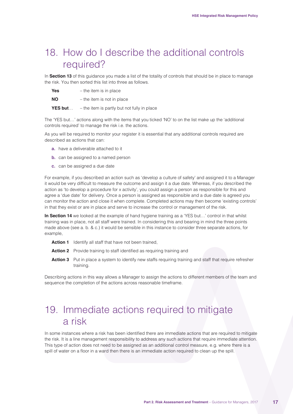### <span id="page-18-0"></span>18. How do I describe the additional controls required?

In **Section 13** of this guidance you made a list of the totality of controls that should be in place to manage the risk. You then sorted this list into three as follows.

- **Yes** the item is in place
- **NO** the item is not in place
- **YES but**… the item is partly but not fully in place

The 'YES but…' actions along with the items that you ticked 'NO' to on the list make up the 'additional controls required' to manage the risk i.e. the actions.

As you will be required to monitor your register it is essential that any additional controls required are described as actions that can:

- **a.** have a deliverable attached to it
- **b.** can be assigned to a named person
- **c.** can be assigned a due date

For example, if you described an action such as 'develop a culture of safety' and assigned it to a Manager it would be very difficult to measure the outcome and assign it a due date. Whereas, if you described the action as 'to develop a procedure for x activity', you could assign a person as responsible for this and agree a 'due date' for delivery. Once a person is assigned as responsible and a due date is agreed you can monitor the action and close it when complete. Completed actions may then become 'existing controls' in that they exist or are in place and serve to increase the control or management of the risk.

In Section 14 we looked at the example of hand hygiene training as a 'YES but...' control in that whilst training was in place, not all staff were trained. In considering this and bearing in mind the three points made above (see a. b. & c.) it would be sensible in this instance to consider three separate actions, for example,

- **Action 1** Identify all staff that have not been trained,
- **Action 2** Provide training to staff identified as requiring training and
- **Action 3** Put in place a system to identify new staffs requiring training and staff that require refresher training.

Describing actions in this way allows a Manager to assign the actions to different members of the team and sequence the completion of the actions across reasonable timeframe.

### 19. Immediate actions required to mitigate a risk

In some instances where a risk has been identified there are immediate actions that are required to mitigate the risk. It is a line management responsibility to address any such actions that require immediate attention. This type of action does not need to be assigned as an additional control measure, e.g. where there is a spill of water on a floor in a ward then there is an immediate action required to clean up the spill.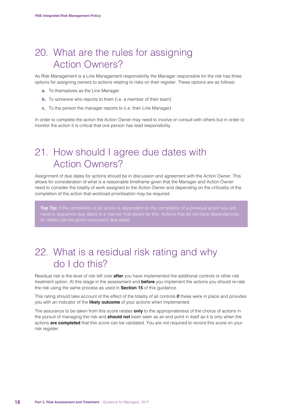### <span id="page-19-0"></span>20. What are the rules for assigning Action Owners?

As Risk Management is a Line Management responsibility the Manager responsible for the risk has three options for assigning owners to actions relating to risks on their register. These options are as follows:

- **a.** To themselves as the Line Manager
- **b.** To someone who reports to them (i.e. a member of their team)
- **c.** To the person the manager reports to (i.e. their Line Manager)

In order to complete the action the Action Owner may need to involve or consult with others but in order to monitor the action it is critical that one person has lead responsibility.

### 21. How should I agree due dates with Action Owners?

Assignment of due dates for actions should be in discussion and agreement with the Action Owner. This allows for consideration of what is a reasonable timeframe given that the Manager and Action Owner need to consider the totality of work assigned to the Action Owner and depending on the criticality of the completion of the action that workload prioritisation may be required.

**Top Tip:** If the completion of an action is dependent on the completion of a previous action you will need to sequence due dates in a manner that allows for this. Actions that do not have dependencies

### 22. What is a residual risk rating and why do I do this?

Residual risk is the level of risk left over **after** you have implemented the additional controls or other risk treatment option. At this stage in the assessment and **before** you implement the actions you should re-rate the risk using the same process as used in **Section 15** of this guidance.

This rating should take account of the effect of the totality of all controls **if** these were in place and provides you with an indicator of the **likely outcome** of your actions when implemented.

The assurance to be taken from this score relates **only** to the appropriateness of the choice of actions in the pursuit of managing the risk and **should not** been seen as an end point in itself as it is only when the actions **are completed** that this score can be validated. You are not required to record this score on your risk register.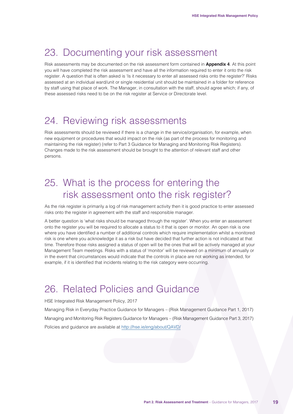### <span id="page-20-0"></span>23. Documenting your risk assessment

Risk assessments may be documented on the risk assessment form contained in **Appendix 4**. At this point you will have completed the risk assessment and have all the information required to enter it onto the risk register. A question that is often asked is 'Is it necessary to enter all assessed risks onto the register?' Risks assessed at an individual ward/unit or single residential unit should be maintained in a folder for reference by staff using that place of work. The Manager, in consultation with the staff, should agree which; if any, of these assessed risks need to be on the risk register at Service or Directorate level.

### 24. Reviewing risk assessments

Risk assessments should be reviewed if there is a change in the service/organisation, for example, when new equipment or procedures that would impact on the risk (as part of the process for monitoring and maintaining the risk register) (refer to Part 3 Guidance for Managing and Monitoring Risk Registers). Changes made to the risk assessment should be brought to the attention of relevant staff and other persons.

### 25. What is the process for entering the risk assessment onto the risk register?

As the risk register is primarily a log of risk management activity then it is good practice to enter assessed risks onto the register in agreement with the staff and responsible manager.

A better question is 'what risks should be managed through the register'. When you enter an assessment onto the register you will be required to allocate a status to it that is open or monitor. An open risk is one where you have identified a number of additional controls which require implementation whilst a monitored risk is one where you acknowledge it as a risk but have decided that further action is not indicated at that time. Therefore those risks assigned a status of open will be the ones that will be actively managed at your Management Team meetings. Risks with a status of 'monitor' will be reviewed on a minimum of annually or in the event that circumstances would indicate that the controls in place are not working as intended, for example, if it is identified that incidents relating to the risk category were occurring.

### 26. Related Policies and Guidance

#### HSE Integrated Risk Management Policy, 2017

Managing Risk in Everyday Practice Guidance for Managers – (Risk Management Guidance Part 1, 2017) Managing and Monitoring Risk Registers Guidance for Managers – (Risk Management Guidance Part 3, 2017) Policies and guidance are available at <http://hse.ie/eng/about/QAVD/>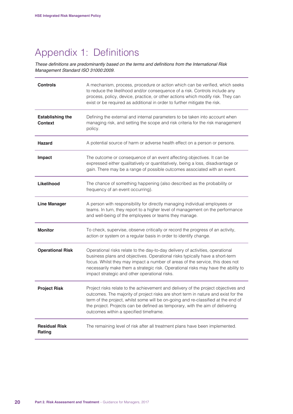### <span id="page-21-0"></span>Appendix 1: Definitions

These definitions are predominantly based on the terms and definitions from the International Risk Management Standard ISO 31000:2009.

| <b>Controls</b>                           | A mechanism, process, procedure or action which can be verified, which seeks<br>to reduce the likelihood and/or consequence of a risk. Controls include any<br>process, policy, device, practice, or other actions which modify risk. They can<br>exist or be required as additional in order to further mitigate the risk.                                                              |
|-------------------------------------------|------------------------------------------------------------------------------------------------------------------------------------------------------------------------------------------------------------------------------------------------------------------------------------------------------------------------------------------------------------------------------------------|
| <b>Establishing the</b><br><b>Context</b> | Defining the external and internal parameters to be taken into account when<br>managing risk, and setting the scope and risk criteria for the risk management<br>policy.                                                                                                                                                                                                                 |
| <b>Hazard</b>                             | A potential source of harm or adverse health effect on a person or persons.                                                                                                                                                                                                                                                                                                              |
| Impact                                    | The outcome or consequence of an event affecting objectives. It can be<br>expressed either qualitatively or quantitatively, being a loss, disadvantage or<br>gain. There may be a range of possible outcomes associated with an event.                                                                                                                                                   |
| Likelihood                                | The chance of something happening (also described as the probability or<br>frequency of an event occurring).                                                                                                                                                                                                                                                                             |
| <b>Line Manager</b>                       | A person with responsibility for directly managing individual employees or<br>teams. In turn, they report to a higher level of management on the performance<br>and well-being of the employees or teams they manage.                                                                                                                                                                    |
| <b>Monitor</b>                            | To check, supervise, observe critically or record the progress of an activity,<br>action or system on a regular basis in order to identify change.                                                                                                                                                                                                                                       |
| <b>Operational Risk</b>                   | Operational risks relate to the day-to-day delivery of activities, operational<br>business plans and objectives. Operational risks typically have a short-term<br>focus. Whilst they may impact a number of areas of the service, this does not<br>necessarily make them a strategic risk. Operational risks may have the ability to<br>impact strategic and other operational risks.    |
| <b>Project Risk</b>                       | Project risks relate to the achievement and delivery of the project objectives and<br>outcomes. The majority of project risks are short term in nature and exist for the<br>term of the project, whilst some will be on-going and re-classified at the end of<br>the project. Projects can be defined as temporary, with the aim of delivering<br>outcomes within a specified timeframe. |
| <b>Residual Risk</b><br>Rating            | The remaining level of risk after all treatment plans have been implemented.                                                                                                                                                                                                                                                                                                             |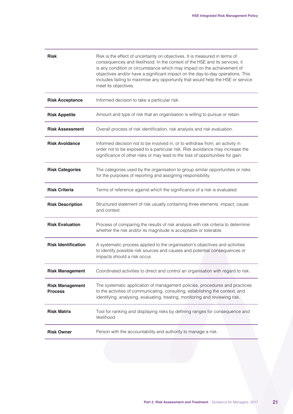| <b>Risk</b>                              | Risk is the effect of uncertainty on objectives. It is measured in terms of<br>consequences and likelihood. In the context of the HSE and its services, it<br>is any condition or circumstance which may impact on the achievement of<br>objectives and/or have a significant impact on the day-to-day operations. This<br>includes failing to maximise any opportunity that would help the HSE or service<br>meet its objectives. |
|------------------------------------------|------------------------------------------------------------------------------------------------------------------------------------------------------------------------------------------------------------------------------------------------------------------------------------------------------------------------------------------------------------------------------------------------------------------------------------|
| <b>Risk Acceptance</b>                   | Informed decision to take a particular risk.                                                                                                                                                                                                                                                                                                                                                                                       |
| <b>Risk Appetite</b>                     | Amount and type of risk that an organisation is willing to pursue or retain.                                                                                                                                                                                                                                                                                                                                                       |
| <b>Risk Assessment</b>                   | Overall process of risk identification, risk analysis and risk evaluation.                                                                                                                                                                                                                                                                                                                                                         |
| <b>Risk Avoidance</b>                    | Informed decision not to be involved in, or to withdraw from, an activity in<br>order not to be exposed to a particular risk. Risk avoidance may increase the<br>significance of other risks or may lead to the loss of opportunities for gain.                                                                                                                                                                                    |
| <b>Risk Categories</b>                   | The categories used by the organisation to group similar opportunities or risks<br>for the purposes of reporting and assigning responsibility.                                                                                                                                                                                                                                                                                     |
| <b>Risk Criteria</b>                     | Terms of reference against which the significance of a risk is evaluated.                                                                                                                                                                                                                                                                                                                                                          |
| <b>Risk Description</b>                  | Structured statement of risk usually containing three elements: impact, cause<br>and context.                                                                                                                                                                                                                                                                                                                                      |
| <b>Risk Evaluation</b>                   | Process of comparing the results of risk analysis with risk criteria to determine<br>whether the risk and/or its magnitude is acceptable or tolerable.                                                                                                                                                                                                                                                                             |
| <b>Risk Identification</b>               | A systematic process applied to the organisation's objectives and activities<br>to identify possible risk sources and causes and potential consequences or<br>impacts should a risk occur.                                                                                                                                                                                                                                         |
| <b>Risk Management</b>                   | Coordinated activities to direct and control an organisation with regard to risk.                                                                                                                                                                                                                                                                                                                                                  |
| <b>Risk Management</b><br><b>Process</b> | The systematic application of management policies, procedures and practices<br>to the activities of communicating, consulting, establishing the context, and<br>identifying, analysing, evaluating, treating, monitoring and reviewing risk.                                                                                                                                                                                       |
| <b>Risk Matrix</b>                       | Tool for ranking and displaying risks by defining ranges for consequence and<br>likelihood.                                                                                                                                                                                                                                                                                                                                        |
| <b>Risk Owner</b>                        | Person with the accountability and authority to manage a risk.                                                                                                                                                                                                                                                                                                                                                                     |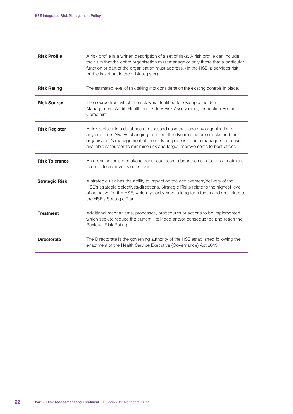| <b>Risk Profile</b>   | A risk profile is a written description of a set of risks. A risk profile can include<br>the risks that the entire organisation must manage or only those that a particular<br>function or part of the organisation must address. (In the HSE, a services risk<br>profile is set out in their risk register).                  |
|-----------------------|--------------------------------------------------------------------------------------------------------------------------------------------------------------------------------------------------------------------------------------------------------------------------------------------------------------------------------|
| <b>Risk Rating</b>    | The estimated level of risk taking into consideration the existing controls in place.                                                                                                                                                                                                                                          |
| <b>Risk Source</b>    | The source from which the risk was identified for example Incident<br>Management, Audit, Health and Safety Risk Assessment, Inspection Report,<br>Complaint.                                                                                                                                                                   |
| <b>Risk Register</b>  | A risk register is a database of assessed risks that face any organisation at<br>any one time. Always changing to reflect the dynamic nature of risks and the<br>organisation's management of them, its purpose is to help managers prioritise<br>available resources to minimise risk and target improvements to best effect. |
| <b>Risk Tolerance</b> | An organisation's or stakeholder's readiness to bear the risk after risk treatment<br>in order to achieve its objectives.                                                                                                                                                                                                      |
| <b>Strategic Risk</b> | A strategic risk has the ability to impact on the achievement/delivery of the<br>HSE's strategic objectives/directions. Strategic Risks relate to the highest level<br>of objective for the HSE, which typically have a long term focus and are linked to<br>the HSE's Strategic Plan.                                         |
| <b>Treatment</b>      | Additional mechanisms, processes, procedures or actions to be implemented,<br>which seek to reduce the current likelihood and/or consequence and reach the<br>Residual Risk Rating.                                                                                                                                            |
| <b>Directorate</b>    | The Directorate is the governing authority of the HSE established following the<br>enactment of the Health Service Executive (Governance) Act 2013.                                                                                                                                                                            |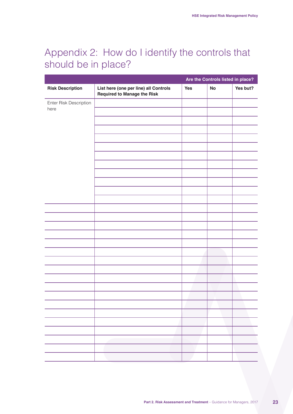### <span id="page-24-0"></span>Appendix 2: How do I identify the controls that should be in place?

|                         |                                                                             |     | Are the Controls listed in place? |          |
|-------------------------|-----------------------------------------------------------------------------|-----|-----------------------------------|----------|
| <b>Risk Description</b> | List here (one per line) all Controls<br><b>Required to Manage the Risk</b> | Yes | No                                | Yes but? |
| Enter Risk Description  |                                                                             |     |                                   |          |
| here                    |                                                                             |     |                                   |          |
|                         |                                                                             |     |                                   |          |
|                         |                                                                             |     |                                   |          |
|                         |                                                                             |     |                                   |          |
|                         |                                                                             |     |                                   |          |
|                         |                                                                             |     |                                   |          |
|                         |                                                                             |     |                                   |          |
|                         |                                                                             |     |                                   |          |
|                         |                                                                             |     |                                   |          |
|                         |                                                                             |     |                                   |          |
|                         |                                                                             |     |                                   |          |
|                         |                                                                             |     |                                   |          |
|                         |                                                                             |     |                                   |          |
|                         |                                                                             |     |                                   |          |
|                         |                                                                             |     |                                   |          |
|                         |                                                                             |     |                                   |          |
|                         |                                                                             |     |                                   |          |
|                         |                                                                             |     |                                   |          |
|                         |                                                                             |     |                                   |          |
|                         |                                                                             |     |                                   |          |
|                         |                                                                             |     |                                   |          |
|                         |                                                                             |     |                                   |          |
|                         |                                                                             |     |                                   |          |
|                         |                                                                             |     |                                   |          |
|                         |                                                                             |     |                                   | ۰        |
|                         |                                                                             |     |                                   |          |
|                         |                                                                             |     |                                   |          |
|                         |                                                                             |     |                                   |          |
|                         |                                                                             |     |                                   |          |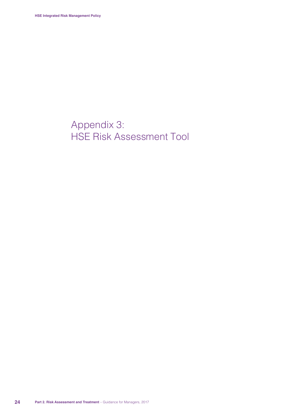<span id="page-25-0"></span>Appendix 3: HSE Risk Assessment Tool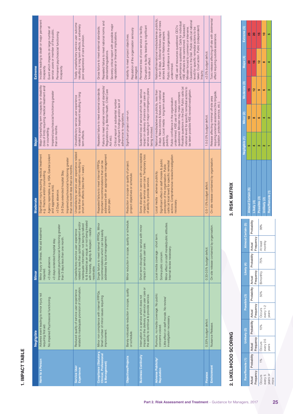## 1. IMPACT TABLE **1. IMPACT TABLE**

| Extreme      | Incident leading to death or major permanent<br>Event which impacts on large number of<br>service users or member of the public.<br>Permanent psychosocial functioning<br>incapacity.<br>incapacity.                                                                                                      | Totally unsatisfactory service user outcome<br>resulting in long term effects, or extremely<br>poor experience of care provision.                                                                                                                       | Repeated failure to meet national norms and<br>Severely critical report with possible major<br>Gross failure to meet external standards.<br>reputational or financial implications.<br>standards/regulations.                                                             | Reputation of the organisation seriously<br>Inability to meet project objectives.<br>damaged | Disruption to facility leading to significant<br>Permanent loss of core service or facility.<br>knock on' effect.                                            | National/International media/adverse publicity,<br>Questions in the Dáil. Public calls (at national<br>> than 3 days. Editorial follows days of news<br>performance questioned. Calls for individual<br>HSE officials to be sanctioned. Taoiseach/<br>HSE use of resources questioned. CEO's<br>taken. Court action. Public (independent)<br>Minister forced to comment or intervene.<br>level) for specific remedial actions to be<br>Public confidence in the organisation<br>stories & features in National papers.<br>undermined.<br>Inquiry. | >2.0% budget deficit.     | Toxic release affecting off-site with detrimental<br>effect requiring outside assistance.                                       |
|--------------|-----------------------------------------------------------------------------------------------------------------------------------------------------------------------------------------------------------------------------------------------------------------------------------------------------------|---------------------------------------------------------------------------------------------------------------------------------------------------------------------------------------------------------------------------------------------------------|---------------------------------------------------------------------------------------------------------------------------------------------------------------------------------------------------------------------------------------------------------------------------|----------------------------------------------------------------------------------------------|--------------------------------------------------------------------------------------------------------------------------------------------------------------|---------------------------------------------------------------------------------------------------------------------------------------------------------------------------------------------------------------------------------------------------------------------------------------------------------------------------------------------------------------------------------------------------------------------------------------------------------------------------------------------------------------------------------------------------|---------------------------|---------------------------------------------------------------------------------------------------------------------------------|
| <b>Major</b> | Major injuries/long term incapacity or disability<br>(loss of limb) requiring medical treatment and/<br>mpaired psychosocial functioning greater<br>than six months.<br>or counselling.                                                                                                                   | related to poor treatment resulting in long<br>Unsatisfactory service user experience<br>term effects.                                                                                                                                                  | Failure to meet national norms and standards/<br>Repeated failure to meet external standards.<br>Regulations (e.g. Mental Health, Child Care<br>Critical report or substantial number<br>of significant findings and/or lack of<br>adherence to regulations.<br>Act etc). | Significant project over-run.                                                                | service resulting in major contingency plans<br>Sustained loss of service which has serious<br>impact on delivery of service user care or<br>being involved. | Possible questions in the Dáil. Public calls (at<br>national level) for specific remedial actions to<br>be taken possible HSE review/investigation.<br>National media/adverse publicity, less than<br>3 days. News stories & features in national<br>questioned. Minister may make comment.<br>papers. Local media - long term adverse<br>Public confidence in the organisation<br>undermined. HSE use of resources<br>publicity.                                                                                                                 | 1.0-2.0% budget deficit.  | requiring external assistance (fire brigade,<br>Release affecting minimal off-site area<br>radiation, protection service, etc.) |
| Moderate     | Agency reportable, e.g. HSA, Gardaí (violent<br>Significant injury requiring medical treatment<br>Impaired psychosocial functioning greater<br>than one month less than six months.<br>3-8 Days extended hospital Stay.<br>e.g. Fracture and/or counselling.<br>and aggressive acts).<br>>3 Days absence. | Unsatisfactory service user experience related<br>to less than optimal treatment resulting in<br>short term effects (less than 1 week).                                                                                                                 | addressed with an appropriate management<br>Repeated failure to meet internal PPPGs.<br>Important recommendations that can be<br>action plan.                                                                                                                             | Reduction in scope or quality of project;<br>project objectives or schedule.                 | Some disruption in service with unacceptable<br>impact on service user care. Temporary loss<br>of ability to provide service.                                | actions. Comprehensive review/investigation<br>Significant effect on staff morale & public<br>calls (at local level) for specific remedial<br>perception of the organisation. Public<br>Local media - adverse publicity.<br>necessary.                                                                                                                                                                                                                                                                                                            | 0.5-1.0% budget deficit   | On site release contained by organisation.                                                                                      |
| Minor        | Impaired psychosocial functioning greater<br>Minor injury or illness, first aid treatment<br>than 3 days less than one month.<br><3 days extended hospital stay.<br><3 days absence<br>required.                                                                                                          | to & treated as an equal; or not being treated<br>related to less than optimal treatment and/or<br>inadequate information, not being to talked<br>readily<br>Unsatisfactory service user experience<br>with honesty, dignity & respect -<br>resolvable. | Single failure to meet internal PPPGs. Minor<br>recommendations which can be easily<br>addressed by local management                                                                                                                                                      | schedule<br>$\overleftarrow{\sigma}$<br>Minor reduction in scope, quality                    | Short term disruption to service with minor<br>impact on service user care.                                                                                  | Minor effect on staff morale/public attitudes.<br>Local media coverage - short term.<br>Internal review necessary.<br>Some public concern.                                                                                                                                                                                                                                                                                                                                                                                                        | 0.33-0.5% budget deficit. | On site release contained by organisation.                                                                                      |
| Negligible   | Adverse event leading to minor injury not<br>No impaired Psychosocial functioning<br>requiring first aid.                                                                                                                                                                                                 | related to inadequate provision of information.<br>Reduced quality of service user experience                                                                                                                                                           | Minor non compliance with internal PPPGs.<br>Small number of minor issues requiring<br>improvement.                                                                                                                                                                       | Barely noticeable reduction in scope, quality<br>or schedule.                                | impact on the delivery of service user care or<br>the ability to continue to provide service.<br>Interruption in a service which does not                    | Rumours, no media coverage. No public<br>Little effect on staff morale. No review/<br>investigation necessary.<br>concerns voiced.                                                                                                                                                                                                                                                                                                                                                                                                                | 0.33% budget deficit.     | Nuisance Release.                                                                                                               |
|              | Harm to a Person                                                                                                                                                                                                                                                                                          | Service User<br>Experience                                                                                                                                                                                                                              | Compliance (Statutory,<br>Clinical, Professional<br>& Management)                                                                                                                                                                                                         | Objectives/Projects                                                                          | <b>Business Continuity</b>                                                                                                                                   | Adverse Publicity/<br><b>Reputation</b>                                                                                                                                                                                                                                                                                                                                                                                                                                                                                                           | Finance                   | Environment,                                                                                                                    |

## 3. RISK MATRIX **3. RISK MATRIX**

# 2. LIKELIHOOD SCORING **2. LIKELIHOOD SCORING**

|                     | Rare/Remote (1)    |               | Unlikely (2)       |           | Possible (3)       |           | Likely (4)           |           | <b>Almost Certain (5)</b> |
|---------------------|--------------------|---------------|--------------------|-----------|--------------------|-----------|----------------------|-----------|---------------------------|
| Frequency<br>Actual | Probability Actual | Frequency     | Probability Actual | Frequency | Probability Actual | Frequency | Probability   Actual | Frequency | Probability               |
| Occurs              | 1%                 | <b>Decurs</b> | $10\%$             | Occurs    | 50%                | Bimonthly | 75%                  | At least  | 99%                       |
| every 5             |                    | every 2-5     |                    | $3.1 - 2$ |                    |           |                      | nonthly   |                           |
| years or            |                    | years         |                    | years     |                    |           |                      |           |                           |
| more                |                    |               |                    |           |                    |           |                      |           |                           |

|                                   | Negligible (1)          | Minor $(2)$ | Moderate (3) | Major $(4)$ | Extreme (5)             |
|-----------------------------------|-------------------------|-------------|--------------|-------------|-------------------------|
| Certain (5)<br>$\frac{1}{2}$<br>d | မာ                      |             |              |             |                         |
| Likely (4)                        | d                       | œ           |              |             |                         |
| $-$ 40 ssible (9)                 | ო                       | ဖ           | ത            | J           |                         |
| Unlikely (2)                      | $\overline{\mathbf{c}}$ |             | ဖ            | $\infty$    | $\overline{\mathsf{C}}$ |
| are/Remote (                      |                         | ¢           | ო            | ٠           | ۱Ω                      |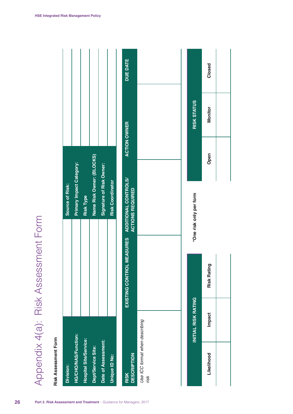<span id="page-27-0"></span>

|                         |                                        |                         | Closed             |  |
|-------------------------|----------------------------------------|-------------------------|--------------------|--|
|                         |                                        | <b>RISK STATUS</b>      | Monitor            |  |
|                         |                                        |                         | Open               |  |
| <b>ACTIONS REQUIRED</b> |                                        | *One risk only per form |                    |  |
|                         |                                        |                         | <b>Risk Rating</b> |  |
|                         |                                        | INITIAL RISK RATING     | <b>Impact</b>      |  |
| <b>DESCRIPTION</b>      | Use ICC format when describing<br>risk |                         | Likelihood         |  |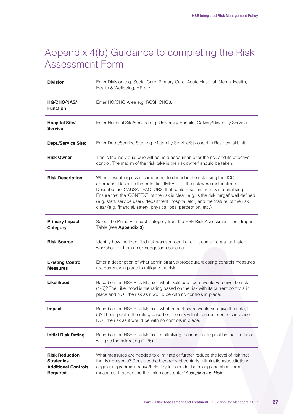### Appendix 4(b) Guidance to completing the Risk Assessment Form

| <b>Division</b>                                                                      | Enter Division e.g. Social Care, Primary Care, Acute Hospital, Mental Health,<br>Health & Wellbeing, HR etc.                                                                                                                                                                                                                                                                                                                                                                            |
|--------------------------------------------------------------------------------------|-----------------------------------------------------------------------------------------------------------------------------------------------------------------------------------------------------------------------------------------------------------------------------------------------------------------------------------------------------------------------------------------------------------------------------------------------------------------------------------------|
| <b>HG/CHO/NAS/</b><br><b>Function:</b>                                               | Enter HG/CHO Area e.g. RCSI, CHO8.                                                                                                                                                                                                                                                                                                                                                                                                                                                      |
| <b>Hospital Site/</b><br><b>Service</b>                                              | Enter Hospital Site/Service e.g. University Hospital Galway/Disability Service.                                                                                                                                                                                                                                                                                                                                                                                                         |
| <b>Dept./Service Site:</b>                                                           | Enter Dept./Service Site: e.g. Maternity Service/St Joseph's Residential Unit.                                                                                                                                                                                                                                                                                                                                                                                                          |
| <b>Risk Owner</b>                                                                    | This is the individual who will be held accountable for the risk and its effective<br>control. The maxim of the 'risk take is the risk owner' should be taken.                                                                                                                                                                                                                                                                                                                          |
| <b>Risk Description</b>                                                              | When describing risk it is important to describe the risk using the 'ICC'<br>approach. Describe the potential 'IMPACT' if the risk were materialised.<br>Describe the 'CAUSAL FACTORS' that could result in the risk materialising.<br>Ensure that the 'CONTEXT' of the risk is clear, e.g. is the risk 'target' well defined<br>(e.g. staff, service user), department, hospital etc.) and the 'nature' of the risk<br>clear (e.g. financial, safety, physical loss, perception, etc.) |
| <b>Primary Impact</b><br>Category                                                    | Select the Primary Impact Category from the HSE Risk Assessment Tool, Impact<br>Table (see Appendix 3).                                                                                                                                                                                                                                                                                                                                                                                 |
| <b>Risk Source</b>                                                                   | Identify how the identified risk was sourced i.e. did it come from a facilitated<br>workshop, or from a risk suggestion scheme.                                                                                                                                                                                                                                                                                                                                                         |
| <b>Existing Control</b><br><b>Measures</b>                                           | Enter a description of what administrative/procedural/existing controls measures<br>are currently in place to mitigate the risk.                                                                                                                                                                                                                                                                                                                                                        |
| Likelihood                                                                           | Based on the HSE Risk Matrix - what likelihood score would you give the risk<br>(1-5)? The Likelihood is the rating based on the risk with its current controls in<br>place and NOT the risk as it would be with no controls in place.                                                                                                                                                                                                                                                  |
| Impact                                                                               | Based on the HSE Risk Matrix – what Impact score would you give the risk (1-<br>5)? The Impact is the rating based on the risk with its current controls in place<br>NOT the risk as it would be with no controls in place.                                                                                                                                                                                                                                                             |
| <b>Initial Risk Rating</b>                                                           | Based on the HSE Risk Matrix - multiplying the inherent Impact by the likelihood<br>will give the risk rating (1-25).                                                                                                                                                                                                                                                                                                                                                                   |
| <b>Risk Reduction</b><br><b>Strategies</b><br><b>Additional Controls</b><br>Required | What measures are needed to eliminate or further reduce the level of risk that<br>the risk presents? Consider the hierarchy of controls: elimination/substitution/<br>engineering/administrative/PPE. Try to consider both long and short-term<br>measures. If accepting the risk please enter 'Accepting the Risk'.                                                                                                                                                                    |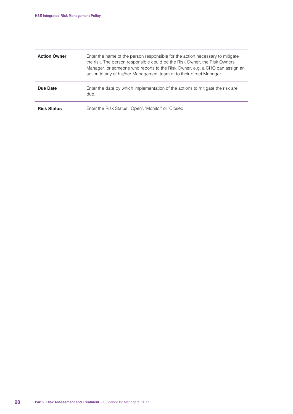| <b>Action Owner</b> | Enter the name of the person responsible for the action necessary to mitigate<br>the risk. The person responsible could be the Risk Owner, the Risk Owners<br>Manager, or someone who reports to the Risk Owner, e.g. a CHO can assign an<br>action to any of his/her Management team or to their direct Manager. |
|---------------------|-------------------------------------------------------------------------------------------------------------------------------------------------------------------------------------------------------------------------------------------------------------------------------------------------------------------|
| Due Date            | Enter the date by which implementation of the actions to mitigate the risk are<br>due.                                                                                                                                                                                                                            |
| <b>Risk Status</b>  | Enter the Risk Status: 'Open', 'Monitor' or 'Closed'.                                                                                                                                                                                                                                                             |